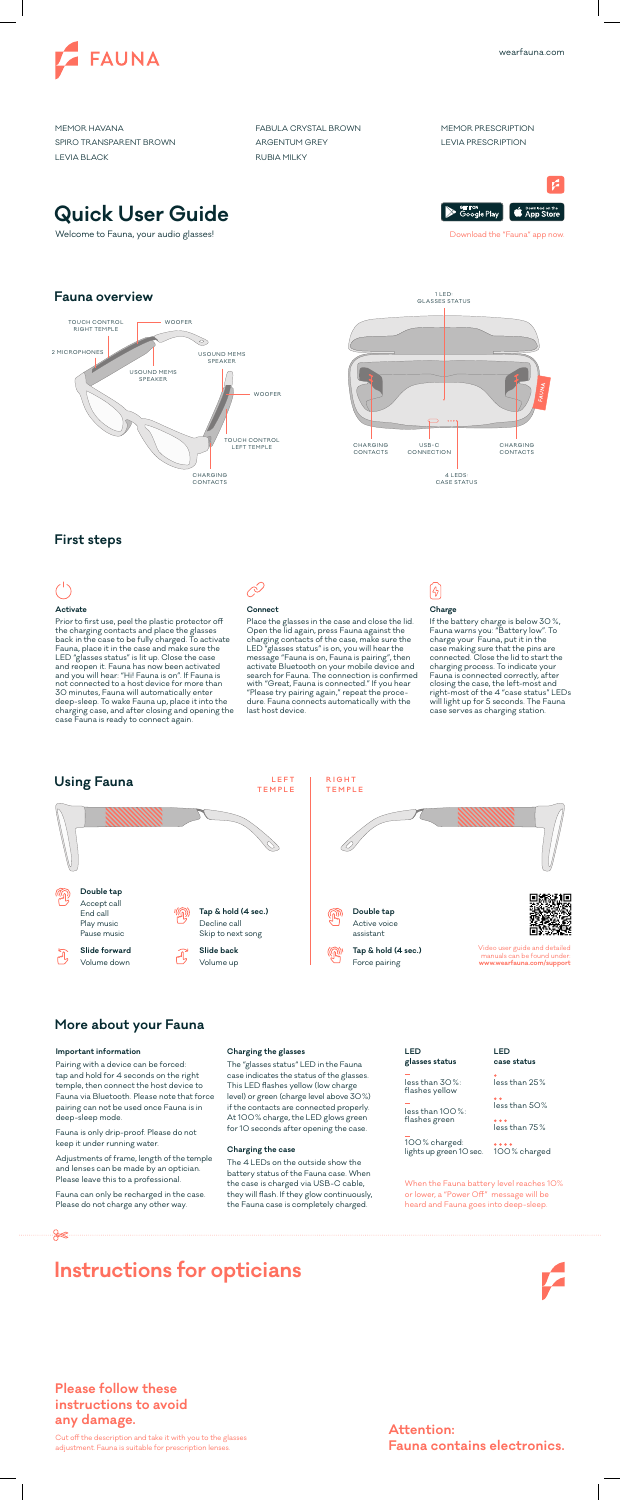





Welcome to Fauna, your audio glasses! The state of the "Fauna" app now and the "Fauna" app now. Download the "Fauna" app now.

A Soogle Play Google Play

### **Fauna overview**





### **First steps**



**TEMPLE**

Force pairing

Volume up



Volume down

**Slide back Slide forward Tap & hold (4 sec.)** Decline call Skip to next song **Double tap** Accept call End call Play music Pause music

#### **Important information**

Pairing with a device can be forced: tap and hold for 4 seconds on the right temple, then connect the host device to Fauna via Bluetooth. Please note that force pairing can not be used once Fauna is in deep-sleep mode.

Fauna is only drip-proof. Please do not keep it under running water.

100% charged: lights up green 10 sec.

Adjustments of frame, length of the temple and lenses can be made by an optician. Please leave this to a professional.



Fauna can only be recharged in the case. Please do not charge any other way.

#### **Charging the glasses**

The "glasses status" LED in the Fauna case indicates the status of the glasses. This LED flashes yellow (low charge level) or green (charge level above 30%) if the contacts are connected properly. At 100% charge, the LED glows green for 10 seconds after opening the case.

### **Charging the case**

The 4 LEDs on the outside show the battery status of the Fauna case. When the case is charged via USB-C cable, they will flash. If they glow continuously, the Fauna case is completely charged.

### **More about your Fauna**

manuals can be found under: **www.wearfauna.com/support**

| LED            |  |
|----------------|--|
| glasses status |  |

less than 100%: flashes green

100% charged

less than 75 %

less than 25 % **case status**

less than 50%

**LED**

less than 30%: flashes yellow





Cut off the description and take it with you to the glasses adjustment. Fauna is suitable for prescription lenses.

### **Attention: Fauna contains electronics.**

### **Please follow these instructions to avoid any damage.**

### **Activate**

Prior to first use, peel the plastic protector off the charging contacts and place the glasses back in the case to be fully charged. To activate Fauna, place it in the case and make sure the LED "glasses status" is lit up. Close the case and reopen it. Fauna has now been activated and you will hear: "Hi! Fauna is on". If Fauna is not connected to a host device for more than 30 minutes, Fauna will automatically enter deep-sleep. To wake Fauna up, place it into the charging case, and after closing and opening the case Fauna is ready to connect again.

### **Connect**

Place the glasses in the case and close the lid. Open the lid again, press Fauna against the charging contacts of the case, make sure the LED "glasses status" is on, you will hear the message "Fauna is on, Fauna is pairing", then activate Bluetooth on your mobile device and search for Fauna. The connection is confirmed with "Great, Fauna is connected." If you hear "Please try pairing again," repeat the procedure. Fauna connects automatically with the last host device.

## $[4] % \begin{center} \includegraphics[width=0.9\columnwidth]{figures/fig_0a.pdf} \end{center} \caption{The figure shows the number of times of the two times, and the number of times, and the number of times, respectively.} \label{fig:1}$

### **Charge**

If the battery charge is below 30 %, Fauna warns you: "Battery low". To charge your Fauna, put it in the case making sure that the pins are connected. Close the lid to start the charging process. To indicate your Fauna is connected correctly, after closing the case, the left-most and right-most of the 4 "case status" LEDs will light up for 5 seconds. The Fauna case serves as charging station.

# **Using Fauna LEFT**

When the Fauna battery level reaches 10% or lower, a "Power Off" message will be heard and Fauna goes into deep-sleep.

MEMOR HAVANA SPIRO TRANSPARENT BROWN LEVIA BLACK

FABULA CRYSTAL BROWN ARGENTUM GREY RUBIA MILKY

MEMOR PRESCRIPTION LEVIA PRESCRIPTION